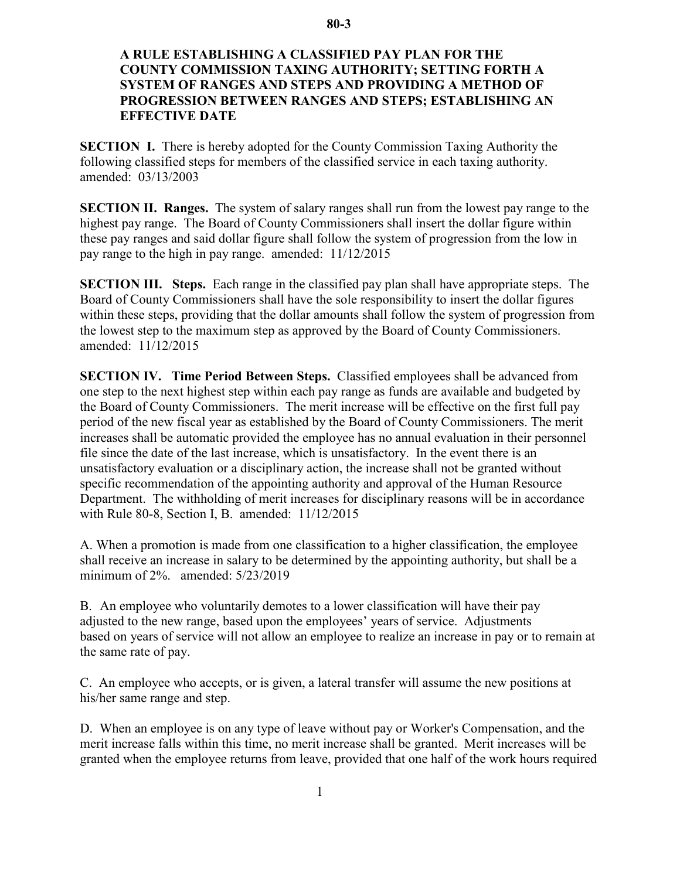## **80-3**

## **A RULE ESTABLISHING A CLASSIFIED PAY PLAN FOR THE COUNTY COMMISSION TAXING AUTHORITY; SETTING FORTH A SYSTEM OF RANGES AND STEPS AND PROVIDING A METHOD OF PROGRESSION BETWEEN RANGES AND STEPS; ESTABLISHING AN EFFECTIVE DATE**

**SECTION I.** There is hereby adopted for the County Commission Taxing Authority the following classified steps for members of the classified service in each taxing authority. amended: 03/13/2003

**SECTION II. Ranges.** The system of salary ranges shall run from the lowest pay range to the highest pay range. The Board of County Commissioners shall insert the dollar figure within these pay ranges and said dollar figure shall follow the system of progression from the low in pay range to the high in pay range. amended: 11/12/2015

**SECTION III. Steps.** Each range in the classified pay plan shall have appropriate steps. The Board of County Commissioners shall have the sole responsibility to insert the dollar figures within these steps, providing that the dollar amounts shall follow the system of progression from the lowest step to the maximum step as approved by the Board of County Commissioners. amended: 11/12/2015

**SECTION IV. Time Period Between Steps.** Classified employees shall be advanced from one step to the next highest step within each pay range as funds are available and budgeted by the Board of County Commissioners. The merit increase will be effective on the first full pay period of the new fiscal year as established by the Board of County Commissioners. The merit increases shall be automatic provided the employee has no annual evaluation in their personnel file since the date of the last increase, which is unsatisfactory. In the event there is an unsatisfactory evaluation or a disciplinary action, the increase shall not be granted without specific recommendation of the appointing authority and approval of the Human Resource Department. The withholding of merit increases for disciplinary reasons will be in accordance with Rule 80-8, Section I, B. amended: 11/12/2015

A. When a promotion is made from one classification to a higher classification, the employee shall receive an increase in salary to be determined by the appointing authority, but shall be a minimum of 2%. amended: 5/23/2019

B. An employee who voluntarily demotes to a lower classification will have their pay adjusted to the new range, based upon the employees' years of service. Adjustments based on years of service will not allow an employee to realize an increase in pay or to remain at the same rate of pay.

C. An employee who accepts, or is given, a lateral transfer will assume the new positions at his/her same range and step.

D. When an employee is on any type of leave without pay or Worker's Compensation, and the merit increase falls within this time, no merit increase shall be granted. Merit increases will be granted when the employee returns from leave, provided that one half of the work hours required